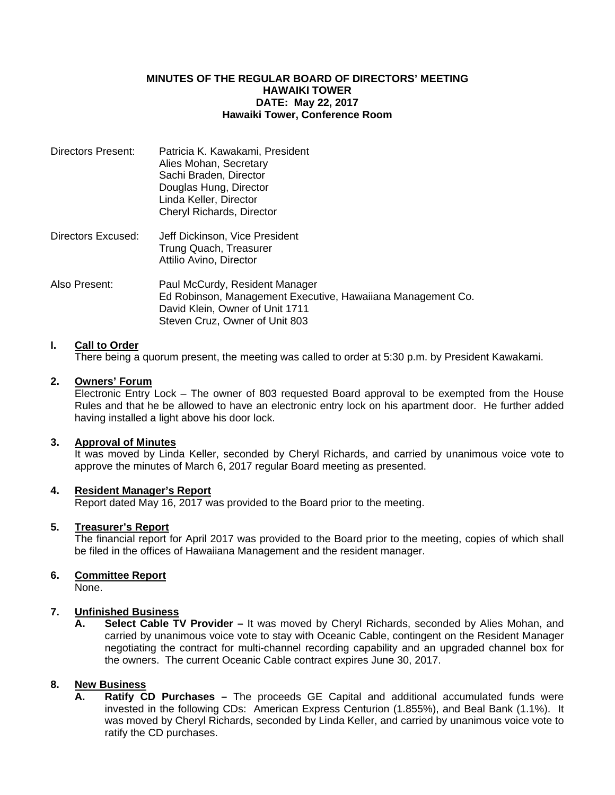#### **MINUTES OF THE REGULAR BOARD OF DIRECTORS' MEETING HAWAIKI TOWER DATE: May 22, 2017 Hawaiki Tower, Conference Room**

| Directors Present: | Patricia K. Kawakami, President<br>Alies Mohan, Secretary<br>Sachi Braden, Director<br>Douglas Hung, Director<br>Linda Keller, Director<br>Cheryl Richards, Director |
|--------------------|----------------------------------------------------------------------------------------------------------------------------------------------------------------------|
| Directors Excused: | Jeff Dickinson, Vice President<br>Trung Quach, Treasurer<br>Attilio Avino, Director                                                                                  |
| Also Present:      | Paul McCurdy, Resident Manager<br>Ed Robinson, Management Executive, Hawaiiana Management Co.<br>David Klein, Owner of Unit 1711<br>Steven Cruz, Owner of Unit 803   |

## **I. Call to Order**

There being a quorum present, the meeting was called to order at 5:30 p.m. by President Kawakami.

## **2. Owners' Forum**

Electronic Entry Lock – The owner of 803 requested Board approval to be exempted from the House Rules and that he be allowed to have an electronic entry lock on his apartment door. He further added having installed a light above his door lock.

#### **3. Approval of Minutes**

 It was moved by Linda Keller, seconded by Cheryl Richards, and carried by unanimous voice vote to approve the minutes of March 6, 2017 regular Board meeting as presented.

## **4. Resident Manager's Report**

Report dated May 16, 2017 was provided to the Board prior to the meeting.

#### **5. Treasurer's Report**

 The financial report for April 2017 was provided to the Board prior to the meeting, copies of which shall be filed in the offices of Hawaiiana Management and the resident manager.

## **6. Committee Report**

None.

## **7. Unfinished Business**

**A. Select Cable TV Provider –** It was moved by Cheryl Richards, seconded by Alies Mohan, and carried by unanimous voice vote to stay with Oceanic Cable, contingent on the Resident Manager negotiating the contract for multi-channel recording capability and an upgraded channel box for the owners. The current Oceanic Cable contract expires June 30, 2017.

# **8. New Business**

**A. Ratify CD Purchases –** The proceeds GE Capital and additional accumulated funds were invested in the following CDs: American Express Centurion (1.855%), and Beal Bank (1.1%). It was moved by Cheryl Richards, seconded by Linda Keller, and carried by unanimous voice vote to ratify the CD purchases.